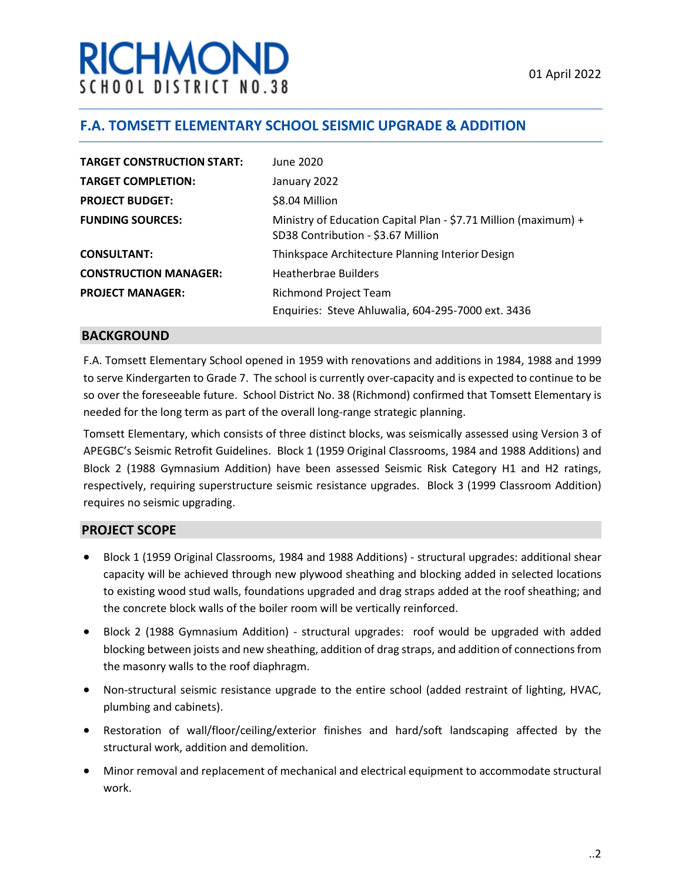# RICHMON SCHOOL DISTRICT NO.38

## **F.A. TOMSETT ELEMENTARY SCHOOL SEISMIC UPGRADE & ADDITION**

| <b>TARGET CONSTRUCTION START:</b> | June 2020                                                                                             |
|-----------------------------------|-------------------------------------------------------------------------------------------------------|
| <b>TARGET COMPLETION:</b>         | January 2022                                                                                          |
| <b>PROJECT BUDGET:</b>            | \$8.04 Million                                                                                        |
| <b>FUNDING SOURCES:</b>           | Ministry of Education Capital Plan - \$7.71 Million (maximum) +<br>SD38 Contribution - \$3.67 Million |
| <b>CONSULTANT:</b>                | Thinkspace Architecture Planning Interior Design                                                      |
| <b>CONSTRUCTION MANAGER:</b>      | <b>Heatherbrae Builders</b>                                                                           |
| <b>PROJECT MANAGER:</b>           | <b>Richmond Project Team</b>                                                                          |
|                                   | Enquiries: Steve Ahluwalia, 604-295-7000 ext. 3436                                                    |

#### **BACKGROUND**

F.A. Tomsett Elementary School opened in 1959 with renovations and additions in 1984, 1988 and 1999 to serve Kindergarten to Grade 7. The school is currently over-capacity and is expected to continue to be so over the foreseeable future. School District No. 38 (Richmond) confirmed that Tomsett Elementary is needed for the long term as part of the overall long-range strategic planning.

Tomsett Elementary, which consists of three distinct blocks, was seismically assessed using Version 3 of APEGBC's Seismic Retrofit Guidelines. Block 1 (1959 Original Classrooms, 1984 and 1988 Additions) and Block 2 (1988 Gymnasium Addition) have been assessed Seismic Risk Category H1 and H2 ratings, respectively, requiring superstructure seismic resistance upgrades. Block 3 (1999 Classroom Addition) requires no seismic upgrading.

#### **PROJECT SCOPE**

- Block 1 (1959 Original Classrooms, 1984 and 1988 Additions) structural upgrades: additional shear capacity will be achieved through new plywood sheathing and blocking added in selected locations to existing wood stud walls, foundations upgraded and drag straps added at the roof sheathing; and the concrete block walls of the boiler room will be vertically reinforced.
- Block 2 (1988 Gymnasium Addition) structural upgrades: roof would be upgraded with added blocking between joists and new sheathing, addition of drag straps, and addition of connections from the masonry walls to the roof diaphragm.
- Non-structural seismic resistance upgrade to the entire school (added restraint of lighting, HVAC, plumbing and cabinets).
- Restoration of wall/floor/ceiling/exterior finishes and hard/soft landscaping affected by the structural work, addition and demolition.
- Minor removal and replacement of mechanical and electrical equipment to accommodate structural work.